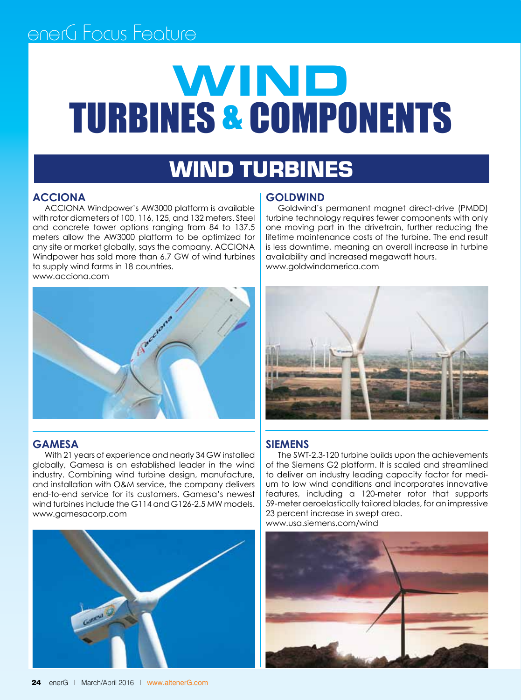# **WIND** TURBINES & COMPONENTS

### WIND TURBINES

#### **ACCIONA**

ACCIONA Windpower's AW3000 platform is available with rotor diameters of 100, 116, 125, and 132 meters. Steel and concrete tower options ranging from 84 to 137.5 meters allow the AW3000 platform to be optimized for any site or market globally, says the company. ACCIONA Windpower has sold more than 6.7 GW of wind turbines to supply wind farms in 18 countries. www.acciona.com



#### **Gamesa**

With 21 years of experience and nearly 34 GW installed globally, Gamesa is an established leader in the wind industry. Combining wind turbine design, manufacture, and installation with O&M service, the company delivers end-to-end service for its customers. Gamesa's newest wind turbines include the G114 and G126-2.5 MW models. www.gamesacorp.com



#### **Goldwind**

Goldwind's permanent magnet direct-drive (PMDD) turbine technology requires fewer components with only one moving part in the drivetrain, further reducing the lifetime maintenance costs of the turbine. The end result is less downtime, meaning an overall increase in turbine availability and increased megawatt hours. www.goldwindamerica.com



#### **Siemens**

The SWT-2.3-120 turbine builds upon the achievements of the Siemens G2 platform. It is scaled and streamlined to deliver an industry leading capacity factor for medium to low wind conditions and incorporates innovative features, including a 120-meter rotor that supports 59-meter aeroelastically tailored blades, for an impressive 23 percent increase in swept area. www.usa.siemens.com/wind

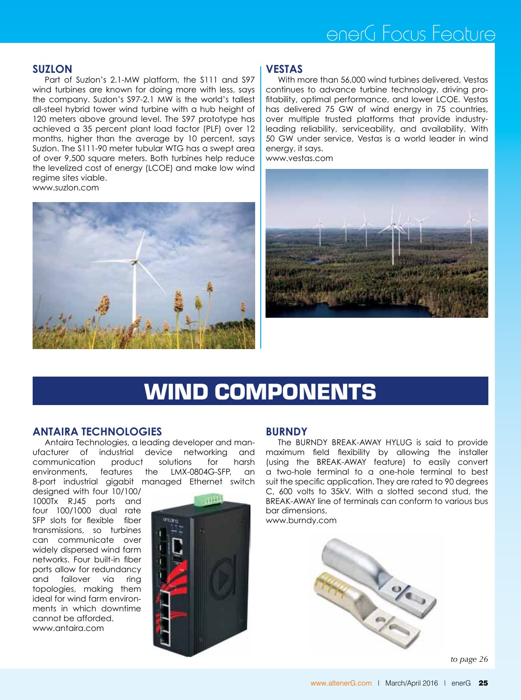#### **Suzlon**

Part of Suzlon's 2.1-MW platform, the S111 and S97 wind turbines are known for doing more with less, says the company. Suzlon's S97-2.1 MW is the world's tallest all-steel hybrid tower wind turbine with a hub height of 120 meters above ground level. The S97 prototype has achieved a 35 percent plant load factor (PLF) over 12 months, higher than the average by 10 percent, says Suzlon. The S111-90 meter tubular WTG has a swept area of over 9,500 square meters. Both turbines help reduce the levelized cost of energy (LCOE) and make low wind regime sites viable. www.suzlon.com



#### **Vestas**

With more than 56,000 wind turbines delivered, Vestas continues to advance turbine technology, driving profitability, optimal performance, and lower LCOE. Vestas has delivered 75 GW of wind energy in 75 countries, over multiple trusted platforms that provide industryleading reliability, serviceability, and availability. With 50 GW under service, Vestas is a world leader in wind energy, it says.

www.vestas.com



## WIND components

#### **Antaira Technologies**

Antaira Technologies, a leading developer and manufacturer of industrial device networking and communication product solutions for harsh environments, features the LMX-0804G-SFP, an 8-port industrial gigabit managed Ethernet switch

designed with four 10/100/ 1000Tx RJ45 ports and four 100/1000 dual rate SFP slots for flexible fiber transmissions, so turbines can communicate over widely dispersed wind farm networks. Four built-in fiber ports allow for redundancy and failover via ring topologies, making them ideal for wind farm environments in which downtime cannot be afforded. www.antaira.com



#### **BURNDY**

The BURNDY BREAK-AWAY HYLUG is said to provide maximum field flexibility by allowing the installer (using the BREAK-AWAY feature) to easily convert a two-hole terminal to a one-hole terminal to best suit the specific application. They are rated to 90 degrees C, 600 volts to 35kV. With a slotted second stud, the BREAK-AWAY line of terminals can conform to various bus bar dimensions.

www.burndy.com



*to page 26*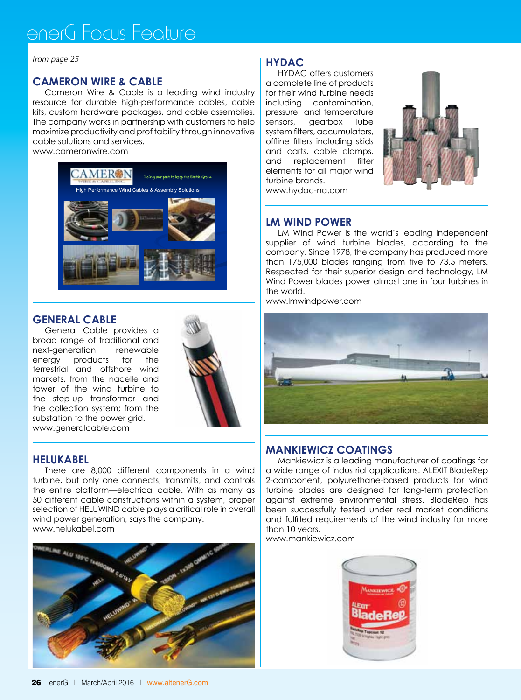*from page 25*

#### **Cameron Wire & Cable**

Cameron Wire & Cable is a leading wind industry resource for durable high-performance cables, cable kits, custom hardware packages, and cable assemblies. The company works in partnership with customers to help maximize productivity and profitability through innovative cable solutions and services.

www.cameronwire.com



#### **General Cable**

General Cable provides a broad range of traditional and next-generation renewable energy products for the terrestrial and offshore wind markets, from the nacelle and tower of the wind turbine to the step-up transformer and the collection system; from the substation to the power grid. www.generalcable.com



#### **HELUKABEL**

There are 8,000 different components in a wind turbine, but only one connects, transmits, and controls the entire platform—electrical cable. With as many as 50 different cable constructions within a system, proper selection of HELUWIND cable plays a critical role in overall wind power generation, says the company. www.helukabel.com



#### **HYDAC**

HYDAC offers customers a complete line of products for their wind turbine needs including contamination, pressure, and temperature sensors, gearbox lube system filters, accumulators, offline filters including skids and carts, cable clamps, and replacement filter elements for all major wind turbine brands. www.hydac-na.com



#### **LM Wind Power**

LM Wind Power is the world's leading independent supplier of wind turbine blades, according to the company. Since 1978, the company has produced more than 175,000 blades ranging from five to 73.5 meters. Respected for their superior design and technology, LM Wind Power blades power almost one in four turbines in the world.

www.lmwindpower.com



#### **Mankiewicz Coatings**

Mankiewicz is a leading manufacturer of coatings for a wide range of industrial applications. ALEXIT BladeRep 2-component, polyurethane-based products for wind turbine blades are designed for long-term protection against extreme environmental stress. BladeRep has been successfully tested under real market conditions and fulfilled requirements of the wind industry for more than 10 years.

www.mankiewicz.com

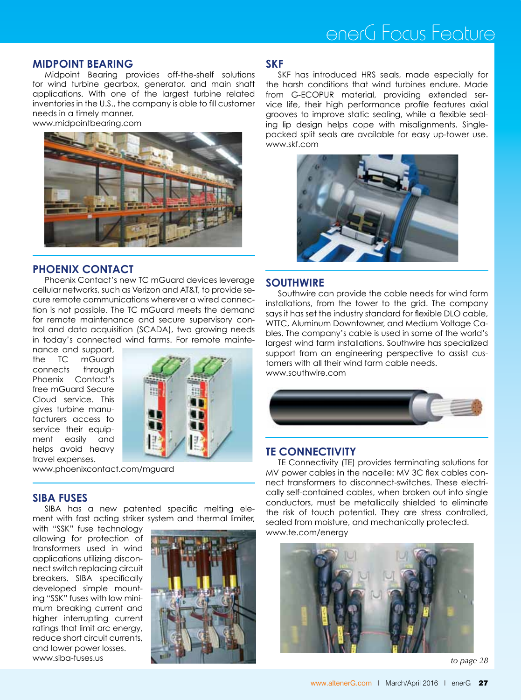#### **Midpoint Bearing**

Midpoint Bearing provides off-the-shelf solutions for wind turbine gearbox, generator, and main shaft applications. With one of the largest turbine related inventories in the U.S., the company is able to fill customer needs in a timely manner.

www.midpointbearing.com



#### **Phoenix Contact**

Phoenix Contact's new TC mGuard devices leverage cellular networks, such as Verizon and AT&T, to provide secure remote communications wherever a wired connection is not possible. The TC mGuard meets the demand for remote maintenance and secure supervisory control and data acquisition (SCADA), two growing needs in today's connected wind farms. For remote mainte-

nance and support, the TC mGuard connects through Phoenix Contact's free mGuard Secure Cloud service. This gives turbine manufacturers access to service their equipment easily and helps avoid heavy travel expenses.



www.phoenixcontact.com/mguard

#### **SIBA Fuses**

SIBA has a new patented specific melting element with fast acting striker system and thermal limiter,

with "SSK" fuse technology allowing for protection of transformers used in wind applications utilizing disconnect switch replacing circuit breakers. SIBA specifically developed simple mounting "SSK" fuses with low minimum breaking current and higher interrupting current ratings that limit arc energy, reduce short circuit currents, and lower power losses. www.siba-fuses.us



#### **SKF**

SKF has introduced HRS seals, made especially for the harsh conditions that wind turbines endure. Made from G-ECOPUR material, providing extended service life, their high performance profile features axial grooves to improve static sealing, while a flexible sealing lip design helps cope with misalignments. Singlepacked split seals are available for easy up-tower use. www.skf.com



#### ٦ **Southwire**

Southwire can provide the cable needs for wind farm installations, from the tower to the grid. The company says it has set the industry standard for flexible DLO cable, WTTC, Aluminum Downtowner, and Medium Voltage Cables. The company's cable is used in some of the world's largest wind farm installations. Southwire has specialized support from an engineering perspective to assist customers with all their wind farm cable needs. www.southwire.com



#### **TE Connectivity**

TE Connectivity (TE) provides terminating solutions for MV power cables in the nacelle: MV 3C flex cables connect transformers to disconnect-switches. These electrically self-contained cables, when broken out into single conductors, must be metallically shielded to eliminate the risk of touch potential. They are stress controlled, sealed from moisture, and mechanically protected. www.te.com/energy



*to page 28*